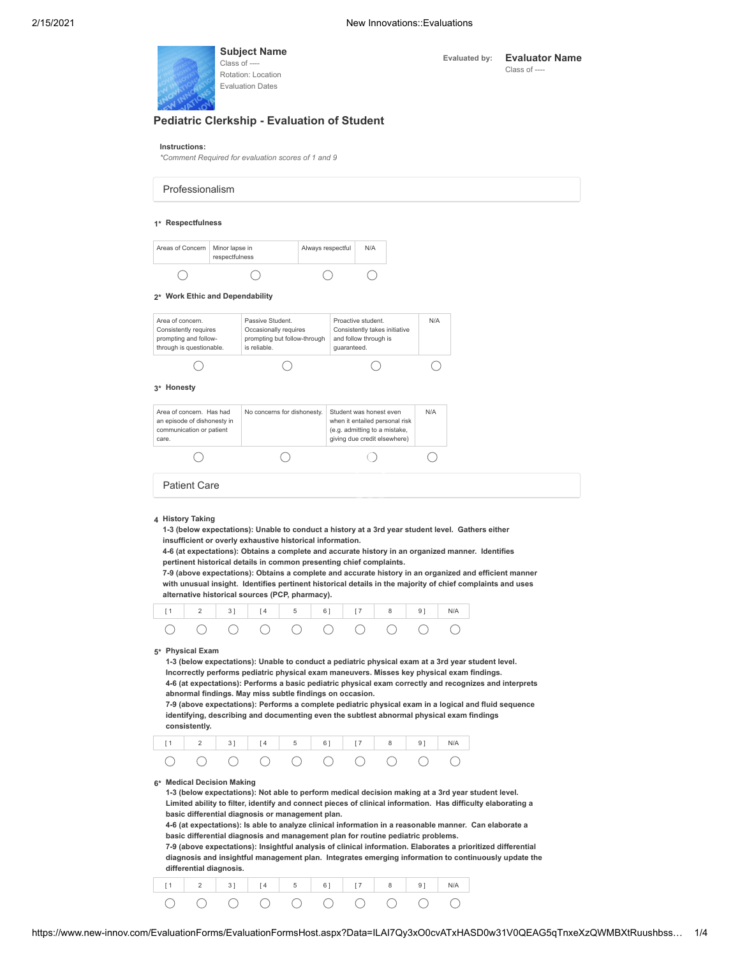**Evaluated by: Evaluator Name** Class of ----

**Subject Name** Class of --Rotation: Location Evaluation Dates

# **Pediatric Clerkship - Evaluation of Student**

### **Instructions:**

*\*Comment Required for evaluation scores of 1 and 9*

# Professionalism

# **1\* Respectfulness**

| Areas of Concern   Minor lapse in | respectfulness | Always respectful | N/A |
|-----------------------------------|----------------|-------------------|-----|
|                                   |                |                   |     |

# **2\* Work Ethic and Dependability**

| Area of concern.         | Passive Student.             | Proactive student.            | N/A |
|--------------------------|------------------------------|-------------------------------|-----|
| Consistently requires    | Occasionally requires        | Consistently takes initiative |     |
| prompting and follow-    | prompting but follow-through | and follow through is         |     |
| through is questionable. | is reliable.                 | guaranteed.                   |     |
|                          |                              |                               |     |

### **3\* Honesty**

| Area of concern. Has had<br>an episode of dishonesty in<br>communication or patient<br>care. | No concerns for dishonesty. | Student was honest even<br>when it entailed personal risk<br>(e.g. admitting to a mistake,<br>giving due credit elsewhere) | N/A |
|----------------------------------------------------------------------------------------------|-----------------------------|----------------------------------------------------------------------------------------------------------------------------|-----|
|                                                                                              |                             |                                                                                                                            |     |
| <b>Patient Care</b>                                                                          |                             |                                                                                                                            |     |

**4 History Taking**

**1-3 (below expectations): Unable to conduct a history at a 3rd year student level. Gathers either insufficient or overly exhaustive historical information.** 

**4-6 (at expectations): Obtains a complete and accurate history in an organized manner. Identifies pertinent historical details in common presenting chief complaints.**

**7-9 (above expectations): Obtains a complete and accurate history in an organized and efficient manner with unusual insight. Identifies pertinent historical details in the majority of chief complaints and uses alternative historical sources (PCP, pharmacy).** 

|  |  |  |  | [1 2 3] [4 5 6] [7 8 9] N/A |
|--|--|--|--|-----------------------------|
|  |  |  |  |                             |

**5\* Physical Exam**

**1-3 (below expectations): Unable to conduct a pediatric physical exam at a 3rd year student level. Incorrectly performs pediatric physical exam maneuvers. Misses key physical exam findings. 4-6 (at expectations): Performs a basic pediatric physical exam correctly and recognizes and interprets abnormal findings. May miss subtle findings on occasion.**

**7-9 (above expectations): Performs a complete pediatric physical exam in a logical and fluid sequence identifying, describing and documenting even the subtlest abnormal physical exam findings consistently.**

**6\* Medical Decision Making**

**1-3 (below expectations): Not able to perform medical decision making at a 3rd year student level. Limited ability to filter, identify and connect pieces of clinical information. Has difficulty elaborating a basic differential diagnosis or management plan.**

**4-6 (at expectations): Is able to analyze clinical information in a reasonable manner. Can elaborate a basic differential diagnosis and management plan for routine pediatric problems.**

**7-9 (above expectations): Insightful analysis of clinical information. Elaborates a prioritized differential diagnosis and insightful management plan. Integrates emerging information to continuously update the differential diagnosis.**

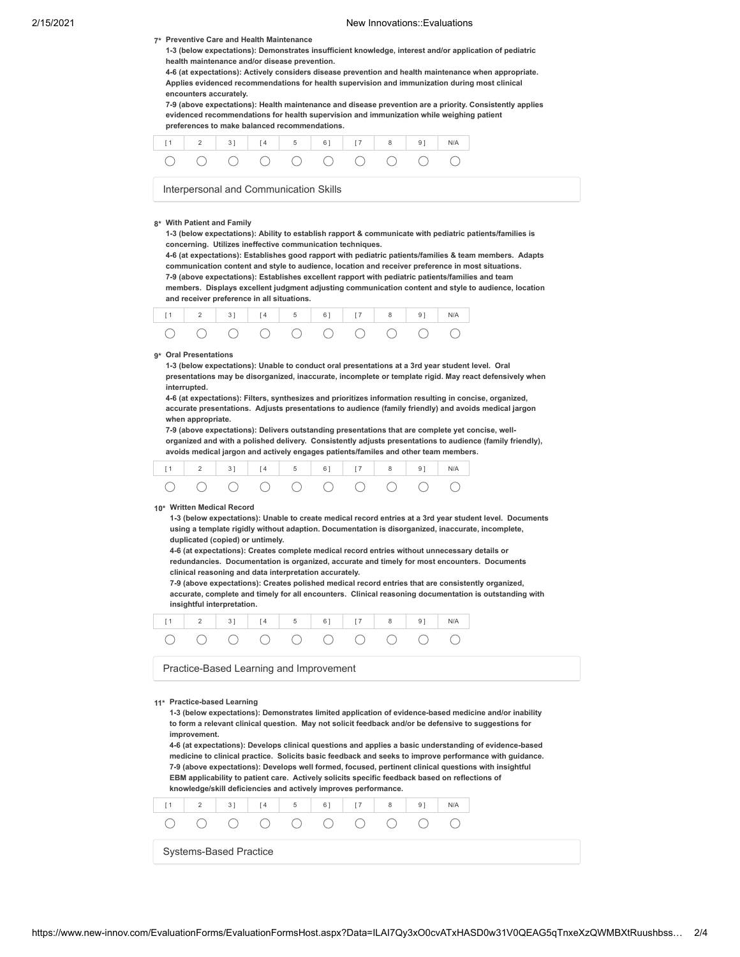**7\* Preventive Care and Health Maintenance**

**1-3 (below expectations): Demonstrates insufficient knowledge, interest and/or application of pediatric health maintenance and/or disease prevention.**

**4-6 (at expectations): Actively considers disease prevention and health maintenance when appropriate. Applies evidenced recommendations for health supervision and immunization during most clinical encounters accurately.**

**7-9 (above expectations): Health maintenance and disease prevention are a priority. Consistently applies evidenced recommendations for health supervision and immunization while weighing patient preferences to make balanced recommendations.**

|                                                                                                                                                                                                                                                                                                                                                                                                                                                                                                                                                                                                                                                                                                                                                                                                                                                                                                                                                                                                                                                                                                                                                                                                                                                                                                                                                                                                                                                                                                                                                                                                                                                  | preferenc |    |     |   |    |     |   |     |     |  |  |  |
|--------------------------------------------------------------------------------------------------------------------------------------------------------------------------------------------------------------------------------------------------------------------------------------------------------------------------------------------------------------------------------------------------------------------------------------------------------------------------------------------------------------------------------------------------------------------------------------------------------------------------------------------------------------------------------------------------------------------------------------------------------------------------------------------------------------------------------------------------------------------------------------------------------------------------------------------------------------------------------------------------------------------------------------------------------------------------------------------------------------------------------------------------------------------------------------------------------------------------------------------------------------------------------------------------------------------------------------------------------------------------------------------------------------------------------------------------------------------------------------------------------------------------------------------------------------------------------------------------------------------------------------------------|-----------|----|-----|---|----|-----|---|-----|-----|--|--|--|
| [1                                                                                                                                                                                                                                                                                                                                                                                                                                                                                                                                                                                                                                                                                                                                                                                                                                                                                                                                                                                                                                                                                                                                                                                                                                                                                                                                                                                                                                                                                                                                                                                                                                               | 2         | 3] | [4] | 5 | 6] | [7  | 8 | 9]  | N/A |  |  |  |
|                                                                                                                                                                                                                                                                                                                                                                                                                                                                                                                                                                                                                                                                                                                                                                                                                                                                                                                                                                                                                                                                                                                                                                                                                                                                                                                                                                                                                                                                                                                                                                                                                                                  |           |    |     |   |    |     |   |     |     |  |  |  |
| Interpersonal and Communication Skills                                                                                                                                                                                                                                                                                                                                                                                                                                                                                                                                                                                                                                                                                                                                                                                                                                                                                                                                                                                                                                                                                                                                                                                                                                                                                                                                                                                                                                                                                                                                                                                                           |           |    |     |   |    |     |   |     |     |  |  |  |
|                                                                                                                                                                                                                                                                                                                                                                                                                                                                                                                                                                                                                                                                                                                                                                                                                                                                                                                                                                                                                                                                                                                                                                                                                                                                                                                                                                                                                                                                                                                                                                                                                                                  |           |    |     |   |    |     |   |     |     |  |  |  |
| 8* With Patient and Family<br>1-3 (below expectations): Ability to establish rapport & communicate with pediatric patients/families is<br>concerning. Utilizes ineffective communication techniques.<br>4-6 (at expectations): Establishes good rapport with pediatric patients/families & team members. Adapts<br>communication content and style to audience, location and receiver preference in most situations.<br>7-9 (above expectations): Establishes excellent rapport with pediatric patients/families and team<br>members. Displays excellent judgment adjusting communication content and style to audience, location<br>and receiver preference in all situations.                                                                                                                                                                                                                                                                                                                                                                                                                                                                                                                                                                                                                                                                                                                                                                                                                                                                                                                                                                  |           |    |     |   |    |     |   |     |     |  |  |  |
| [1]                                                                                                                                                                                                                                                                                                                                                                                                                                                                                                                                                                                                                                                                                                                                                                                                                                                                                                                                                                                                                                                                                                                                                                                                                                                                                                                                                                                                                                                                                                                                                                                                                                              | 2         | 3] | [4] | 5 | 6] | [7] | 8 | 9 ] | N/A |  |  |  |
|                                                                                                                                                                                                                                                                                                                                                                                                                                                                                                                                                                                                                                                                                                                                                                                                                                                                                                                                                                                                                                                                                                                                                                                                                                                                                                                                                                                                                                                                                                                                                                                                                                                  |           |    |     |   |    |     |   |     |     |  |  |  |
| 9* Oral Presentations<br>1-3 (below expectations): Unable to conduct oral presentations at a 3rd year student level. Oral<br>presentations may be disorganized, inaccurate, incomplete or template rigid. May react defensively when<br>interrupted.<br>4-6 (at expectations): Filters, synthesizes and prioritizes information resulting in concise, organized,<br>accurate presentations. Adjusts presentations to audience (family friendly) and avoids medical jargon<br>when appropriate.<br>7-9 (above expectations): Delivers outstanding presentations that are complete yet concise, well-<br>organized and with a polished delivery. Consistently adjusts presentations to audience (family friendly),<br>avoids medical jargon and actively engages patients/familes and other team members.<br>$\overline{c}$<br>[1]<br>3]<br>[4]<br>5<br>N/A<br>6 ]<br>[7]<br>8<br>91<br>10* Written Medical Record<br>1-3 (below expectations): Unable to create medical record entries at a 3rd year student level. Documents<br>using a template rigidly without adaption. Documentation is disorganized, inaccurate, incomplete,<br>duplicated (copied) or untimely.<br>4-6 (at expectations): Creates complete medical record entries without unnecessary details or<br>redundancies. Documentation is organized, accurate and timely for most encounters. Documents<br>clinical reasoning and data interpretation accurately.<br>7-9 (above expectations): Creates polished medical record entries that are consistently organized,<br>accurate, complete and timely for all encounters. Clinical reasoning documentation is outstanding with |           |    |     |   |    |     |   |     |     |  |  |  |
| [1                                                                                                                                                                                                                                                                                                                                                                                                                                                                                                                                                                                                                                                                                                                                                                                                                                                                                                                                                                                                                                                                                                                                                                                                                                                                                                                                                                                                                                                                                                                                                                                                                                               | 2         | 3] | [4] | 5 | 6] | [7  | 8 | 9 ] | N/A |  |  |  |
|                                                                                                                                                                                                                                                                                                                                                                                                                                                                                                                                                                                                                                                                                                                                                                                                                                                                                                                                                                                                                                                                                                                                                                                                                                                                                                                                                                                                                                                                                                                                                                                                                                                  |           |    |     |   |    |     |   |     |     |  |  |  |
| Practice-Based Learning and Improvement                                                                                                                                                                                                                                                                                                                                                                                                                                                                                                                                                                                                                                                                                                                                                                                                                                                                                                                                                                                                                                                                                                                                                                                                                                                                                                                                                                                                                                                                                                                                                                                                          |           |    |     |   |    |     |   |     |     |  |  |  |
| 11* Practice-based Learning<br>1-3 (below expectations): Demonstrates limited application of evidence-based medicine and/or inability<br>to form a relevant clinical question. May not solicit feedback and/or be defensive to suggestions for<br>improvement.<br>4-6 (at expectations): Develops clinical questions and applies a basic understanding of evidence-based<br>medicine to clinical practice. Solicits basic feedback and seeks to improve performance with guidance.<br>7-9 (above expectations): Develops well formed, focused, pertinent clinical questions with insightful<br>EBM applicability to patient care. Actively solicits specific feedback based on reflections of<br>knowledge/skill deficiencies and actively improves performance.<br>2<br>3]<br>5<br>8<br>[1<br>[4<br>6]<br>[7<br>9 ]<br>N/A                                                                                                                                                                                                                                                                                                                                                                                                                                                                                                                                                                                                                                                                                                                                                                                                                      |           |    |     |   |    |     |   |     |     |  |  |  |
| <b>Systems-Based Practice</b>                                                                                                                                                                                                                                                                                                                                                                                                                                                                                                                                                                                                                                                                                                                                                                                                                                                                                                                                                                                                                                                                                                                                                                                                                                                                                                                                                                                                                                                                                                                                                                                                                    |           |    |     |   |    |     |   |     |     |  |  |  |